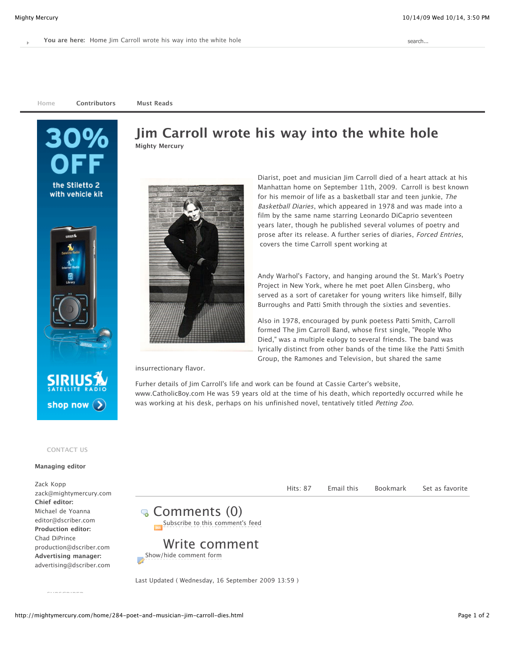**[Home](http://mightymercury.com/) [Contributors](http://mightymercury.com/contributors.html) [Must Reads](http://mightymercury.com/must-reads.html)**





insurrectionary flavor.

Furher details of Jim Carroll's life and work can be found at Cassie Carter's website, [www.CatholicBoy.com](http://www.catholicboy.com/) He was 59 years old at the time of his death, which reportedly occurred while he was working at his desk, perhaps on his unfinished novel, tentatively titled Petting Zoo.

#### **CONTACT US**

shop now  $($ 

#### **Managing editor**

Zack Kopp [zack@mightymercury.com](mailto:zack@mightymercury.com) **Chief editor:** Michael de Yoanna [editor@dscriber.com](mailto:michael@dscriber.com) **Production editor:**  Chad DiPrince [production@dscriber.com](mailto:chad@dscriber.com) **Advertising manager:** [advertising@dscriber.com](mailto:advertising@dscriber.com)



Write comment



Last Updated ( Wednesday, 16 September 2009 13:59 )

**SUBSCRIBER**

# **[Jim Carroll wrote his way into the white hole](http://mightymercury.com/home/284-poet-and-musician-jim-carroll-dies.html) [Mighty Mercury](http://mightymercury.com/component/comprofiler/userprofile/MightyMercury.html)**

Diarist, poet and musician Jim Carroll died of a heart attack at his Manhattan home on September 11th, 2009. Carroll is best known for his memoir of life as a basketball star and teen junkie, The Basketball Diaries, which appeared in 1978 and was made into a film by the same name starring Leonardo DiCaprio seventeen years later, though he published several volumes of poetry and prose after its release. A further series of diaries, Forced Entries, covers the time Carroll spent working at

[Andy Warhol's](http://poetryproject.org/) [Factor](http://en.wikipedia.org/wiki/The_Factory)[y, and hanging around the St. Mark's Poetry](http://poetryproject.org/) Project in New York, where he met poet [Allen Ginsberg,](http://www.youtube.com/watch?v=tEUjTpyBhOo) who served as a sort of caretaker for young writers like himself, Billy Burroughs and Patti Smith through the sixties and seventies.

Also in 1978, encouraged by punk poetess Patti Smith, Carroll formed The Jim Carroll Band, whose first single, "People Who [Died," was a multiple eulogy to several friends. The band was](http://www.youtube.com/watch?v=lBbuPnfG0Vo) [lyrically distinct from other bands of the time like the Patti Smith](http://www.youtube.com/watch?v=47leRbuaOxo) Group, the [Ramones](http://www.youtube.com/watch?v=i5P8lrgBtcU) and [Television](http://www.youtube.com/watch?v=l4QZSDu1wx8), but shared the same

Hits: 87 [Email this](javascript:void(0);) [Bookmark](javascript:void(0);) [Set as favorite](javascript:void(0);)